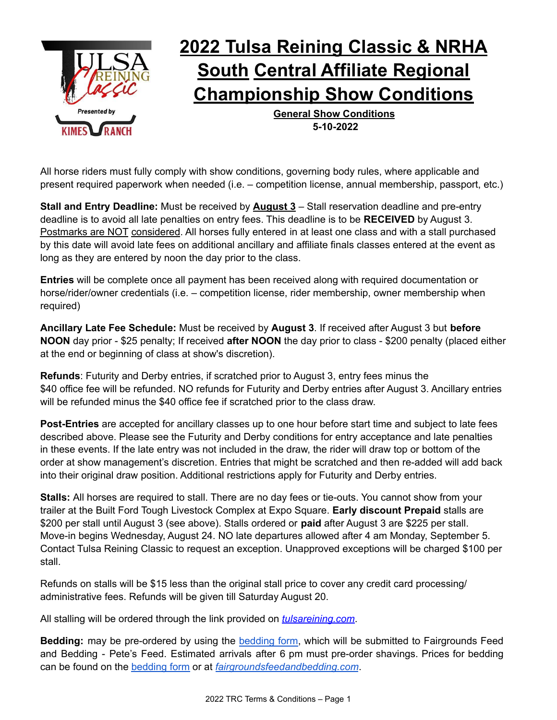

# **2022 Tulsa Reining Classic & NRHA South Central Affiliate Regional Championship Show Conditions**

**General Show Conditions 5-10-2022**

All horse riders must fully comply with show conditions, governing body rules, where applicable and present required paperwork when needed (i.e. – competition license, annual membership, passport, etc.)

**Stall and Entry Deadline:** Must be received by **August 3** – Stall reservation deadline and pre-entry deadline is to avoid all late penalties on entry fees. This deadline is to be **RECEIVED** by August 3. Postmarks are NOT considered. All horses fully entered in at least one class and with a stall purchased by this date will avoid late fees on additional ancillary and affiliate finals classes entered at the event as long as they are entered by noon the day prior to the class.

**Entries** will be complete once all payment has been received along with required documentation or horse/rider/owner credentials (i.e. – competition license, rider membership, owner membership when required)

**Ancillary Late Fee Schedule:** Must be received by **August 3**. If received after August 3 but **before NOON** day prior - \$25 penalty; If received **after NOON** the day prior to class - \$200 penalty (placed either at the end or beginning of class at show's discretion).

**Refunds**: Futurity and Derby entries, if scratched prior to August 3, entry fees minus the \$40 office fee will be refunded. NO refunds for Futurity and Derby entries after August 3. Ancillary entries will be refunded minus the \$40 office fee if scratched prior to the class draw.

**Post-Entries** are accepted for ancillary classes up to one hour before start time and subject to late fees described above. Please see the Futurity and Derby conditions for entry acceptance and late penalties in these events. If the late entry was not included in the draw, the rider will draw top or bottom of the order at show management's discretion. Entries that might be scratched and then re-added will add back into their original draw position. Additional restrictions apply for Futurity and Derby entries.

**Stalls:** All horses are required to stall. There are no day fees or tie-outs. You cannot show from your trailer at the Built Ford Tough Livestock Complex at Expo Square. **Early discount Prepaid** stalls are \$200 per stall until August 3 (see above). Stalls ordered or **paid** after August 3 are \$225 per stall. Move-in begins Wednesday, August 24. NO late departures allowed after 4 am Monday, September 5. Contact Tulsa Reining Classic to request an exception. Unapproved exceptions will be charged \$100 per stall.

Refunds on stalls will be \$15 less than the original stall price to cover any credit card processing/ administrative fees. Refunds will be given till Saturday August 20.

All stalling will be ordered through the link provided on *[tulsareining.com](https://www.tulsareining.com/)*.

**Bedding:** may be pre-ordered by using the [bedding](https://www.tulsareining.com/wp-content/uploads/2022/05/2022-TRC-Bedding.pdf) form, which will be submitted to Fairgrounds Feed and Bedding - Pete's Feed. Estimated arrivals after 6 pm must pre-order shavings. Prices for bedding can be found on the [bedding](https://www.tulsareining.com/wp-content/uploads/2022/05/2022-TRC-Bedding.pdf) form or at *[fairgroundsfeedandbedding.com](https://www.fairgroundsfeedandbedding.com/)*.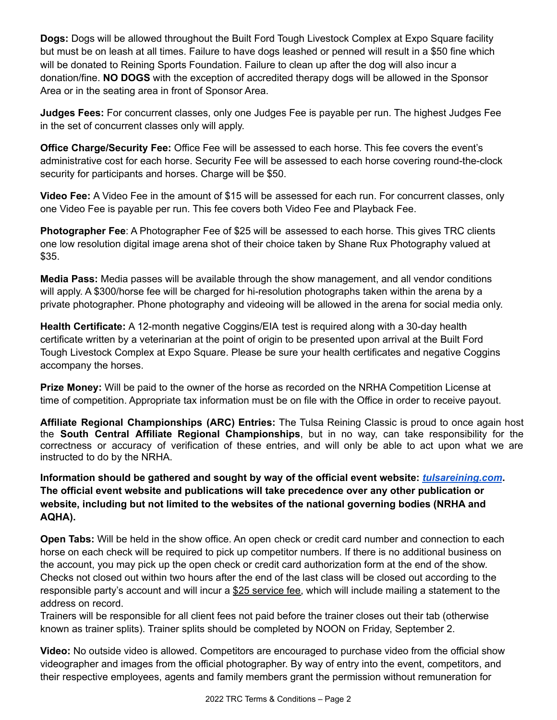**Dogs:** Dogs will be allowed throughout the Built Ford Tough Livestock Complex at Expo Square facility but must be on leash at all times. Failure to have dogs leashed or penned will result in a \$50 fine which will be donated to Reining Sports Foundation. Failure to clean up after the dog will also incur a donation/fine. **NO DOGS** with the exception of accredited therapy dogs will be allowed in the Sponsor Area or in the seating area in front of Sponsor Area.

**Judges Fees:** For concurrent classes, only one Judges Fee is payable per run. The highest Judges Fee in the set of concurrent classes only will apply.

**Office Charge/Security Fee:** Office Fee will be assessed to each horse. This fee covers the event's administrative cost for each horse. Security Fee will be assessed to each horse covering round-the-clock security for participants and horses. Charge will be \$50.

**Video Fee:** A Video Fee in the amount of \$15 will be assessed for each run. For concurrent classes, only one Video Fee is payable per run. This fee covers both Video Fee and Playback Fee.

**Photographer Fee**: A Photographer Fee of \$25 will be assessed to each horse. This gives TRC clients one low resolution digital image arena shot of their choice taken by Shane Rux Photography valued at \$35.

**Media Pass:** Media passes will be available through the show management, and all vendor conditions will apply. A \$300/horse fee will be charged for hi-resolution photographs taken within the arena by a private photographer. Phone photography and videoing will be allowed in the arena for social media only.

**Health Certificate:** A 12-month negative Coggins/EIA test is required along with a 30-day health certificate written by a veterinarian at the point of origin to be presented upon arrival at the Built Ford Tough Livestock Complex at Expo Square. Please be sure your health certificates and negative Coggins accompany the horses.

**Prize Money:** Will be paid to the owner of the horse as recorded on the NRHA Competition License at time of competition. Appropriate tax information must be on file with the Office in order to receive payout.

**Affiliate Regional Championships (ARC) Entries:** The Tulsa Reining Classic is proud to once again host the **South Central Affiliate Regional Championships**, but in no way, can take responsibility for the correctness or accuracy of verification of these entries, and will only be able to act upon what we are instructed to do by the NRHA.

**Information should be gathered and sought by way of the official event website:** *[tulsareining.com](https://www.tulsareining.com/)***. The official event website and publications will take precedence over any other publication or website, including but not limited to the websites of the national governing bodies (NRHA and AQHA).**

**Open Tabs:** Will be held in the show office. An open check or credit card number and connection to each horse on each check will be required to pick up competitor numbers. If there is no additional business on the account, you may pick up the open check or credit card authorization form at the end of the show. Checks not closed out within two hours after the end of the last class will be closed out according to the responsible party's account and will incur a \$25 service fee, which will include mailing a statement to the address on record.

Trainers will be responsible for all client fees not paid before the trainer closes out their tab (otherwise known as trainer splits). Trainer splits should be completed by NOON on Friday, September 2.

**Video:** No outside video is allowed. Competitors are encouraged to purchase video from the official show videographer and images from the official photographer. By way of entry into the event, competitors, and their respective employees, agents and family members grant the permission without remuneration for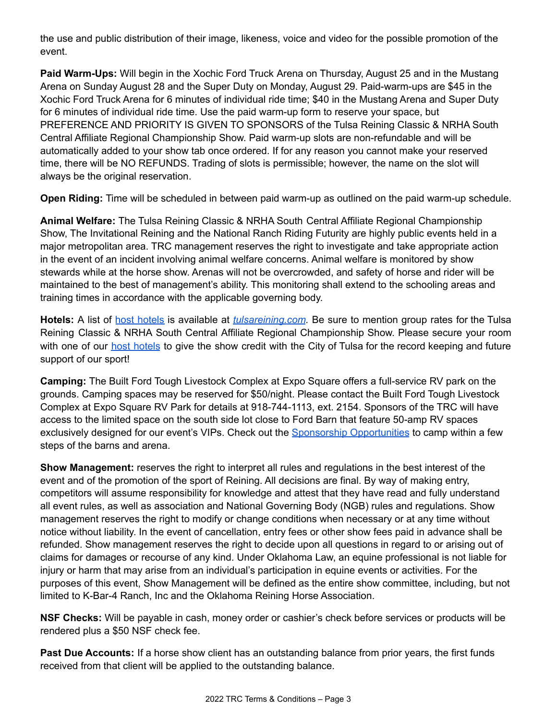the use and public distribution of their image, likeness, voice and video for the possible promotion of the event.

**Paid Warm-Ups:** Will begin in the Xochic Ford Truck Arena on Thursday, August 25 and in the Mustang Arena on Sunday August 28 and the Super Duty on Monday, August 29. Paid-warm-ups are \$45 in the Xochic Ford Truck Arena for 6 minutes of individual ride time; \$40 in the Mustang Arena and Super Duty for 6 minutes of individual ride time. Use the paid warm-up form to reserve your space, but PREFERENCE AND PRIORITY IS GIVEN TO SPONSORS of the Tulsa Reining Classic & NRHA South Central Affiliate Regional Championship Show. Paid warm-up slots are non-refundable and will be automatically added to your show tab once ordered. If for any reason you cannot make your reserved time, there will be NO REFUNDS. Trading of slots is permissible; however, the name on the slot will always be the original reservation.

**Open Riding:** Time will be scheduled in between paid warm-up as outlined on the paid warm-up schedule.

**Animal Welfare:** The Tulsa Reining Classic & NRHA South Central Affiliate Regional Championship Show, The Invitational Reining and the National Ranch Riding Futurity are highly public events held in a major metropolitan area. TRC management reserves the right to investigate and take appropriate action in the event of an incident involving animal welfare concerns. Animal welfare is monitored by show stewards while at the horse show. Arenas will not be overcrowded, and safety of horse and rider will be maintained to the best of management's ability. This monitoring shall extend to the schooling areas and training times in accordance with the applicable governing body.

Hotels: A list of host [hotels](https://www.tulsareining.com/show-info/host-hotels/) is available at *[tulsareining.com](https://www.tulsareining.com/)*. Be sure to mention group rates for the Tulsa Reining Classic & NRHA South Central Affiliate Regional Championship Show. Please secure your room with one of our **host [hotels](https://www.tulsareining.com/show-info/host-hotels/)** to give the show credit with the City of Tulsa for the record keeping and future support of our sport!

**Camping:** The Built Ford Tough Livestock Complex at Expo Square offers a full-service RV park on the grounds. Camping spaces may be reserved for \$50/night. Please contact the Built Ford Tough Livestock Complex at Expo Square RV Park for details at 918-744-1113, ext. 2154. Sponsors of the TRC will have access to the limited space on the south side lot close to Ford Barn that feature 50-amp RV spaces exclusively designed for our event's VIPs. Check out the Sponsorship [Opportunities](https://www.tulsareining.com/sponsors/) to camp within a few steps of the barns and arena.

**Show Management:** reserves the right to interpret all rules and regulations in the best interest of the event and of the promotion of the sport of Reining. All decisions are final. By way of making entry, competitors will assume responsibility for knowledge and attest that they have read and fully understand all event rules, as well as association and National Governing Body (NGB) rules and regulations. Show management reserves the right to modify or change conditions when necessary or at any time without notice without liability. In the event of cancellation, entry fees or other show fees paid in advance shall be refunded. Show management reserves the right to decide upon all questions in regard to or arising out of claims for damages or recourse of any kind. Under Oklahoma Law, an equine professional is not liable for injury or harm that may arise from an individual's participation in equine events or activities. For the purposes of this event, Show Management will be defined as the entire show committee, including, but not limited to K-Bar-4 Ranch, Inc and the Oklahoma Reining Horse Association.

**NSF Checks:** Will be payable in cash, money order or cashier's check before services or products will be rendered plus a \$50 NSF check fee.

**Past Due Accounts:** If a horse show client has an outstanding balance from prior years, the first funds received from that client will be applied to the outstanding balance.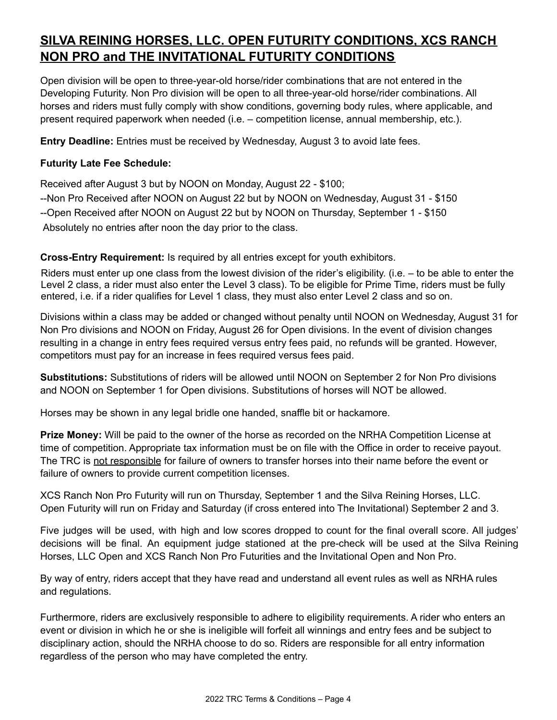# **SILVA REINING HORSES, LLC. OPEN FUTURITY CONDITIONS, XCS RANCH NON PRO and THE INVITATIONAL FUTURITY CONDITIONS**

Open division will be open to three-year-old horse/rider combinations that are not entered in the Developing Futurity. Non Pro division will be open to all three-year-old horse/rider combinations. All horses and riders must fully comply with show conditions, governing body rules, where applicable, and present required paperwork when needed (i.e. – competition license, annual membership, etc.).

**Entry Deadline:** Entries must be received by Wednesday, August 3 to avoid late fees.

### **Futurity Late Fee Schedule:**

Received after August 3 but by NOON on Monday, August 22 - \$100; --Non Pro Received after NOON on August 22 but by NOON on Wednesday, August 31 - \$150 --Open Received after NOON on August 22 but by NOON on Thursday, September 1 - \$150 Absolutely no entries after noon the day prior to the class.

**Cross-Entry Requirement:** Is required by all entries except for youth exhibitors.

Riders must enter up one class from the lowest division of the rider's eligibility. (i.e. – to be able to enter the Level 2 class, a rider must also enter the Level 3 class). To be eligible for Prime Time, riders must be fully entered, i.e. if a rider qualifies for Level 1 class, they must also enter Level 2 class and so on.

Divisions within a class may be added or changed without penalty until NOON on Wednesday, August 31 for Non Pro divisions and NOON on Friday, August 26 for Open divisions. In the event of division changes resulting in a change in entry fees required versus entry fees paid, no refunds will be granted. However, competitors must pay for an increase in fees required versus fees paid.

**Substitutions:** Substitutions of riders will be allowed until NOON on September 2 for Non Pro divisions and NOON on September 1 for Open divisions. Substitutions of horses will NOT be allowed.

Horses may be shown in any legal bridle one handed, snaffle bit or hackamore.

**Prize Money:** Will be paid to the owner of the horse as recorded on the NRHA Competition License at time of competition. Appropriate tax information must be on file with the Office in order to receive payout. The TRC is not responsible for failure of owners to transfer horses into their name before the event or failure of owners to provide current competition licenses.

XCS Ranch Non Pro Futurity will run on Thursday, September 1 and the Silva Reining Horses, LLC. Open Futurity will run on Friday and Saturday (if cross entered into The Invitational) September 2 and 3.

Five judges will be used, with high and low scores dropped to count for the final overall score. All judges' decisions will be final. An equipment judge stationed at the pre-check will be used at the Silva Reining Horses, LLC Open and XCS Ranch Non Pro Futurities and the Invitational Open and Non Pro.

By way of entry, riders accept that they have read and understand all event rules as well as NRHA rules and regulations.

Furthermore, riders are exclusively responsible to adhere to eligibility requirements. A rider who enters an event or division in which he or she is ineligible will forfeit all winnings and entry fees and be subject to disciplinary action, should the NRHA choose to do so. Riders are responsible for all entry information regardless of the person who may have completed the entry.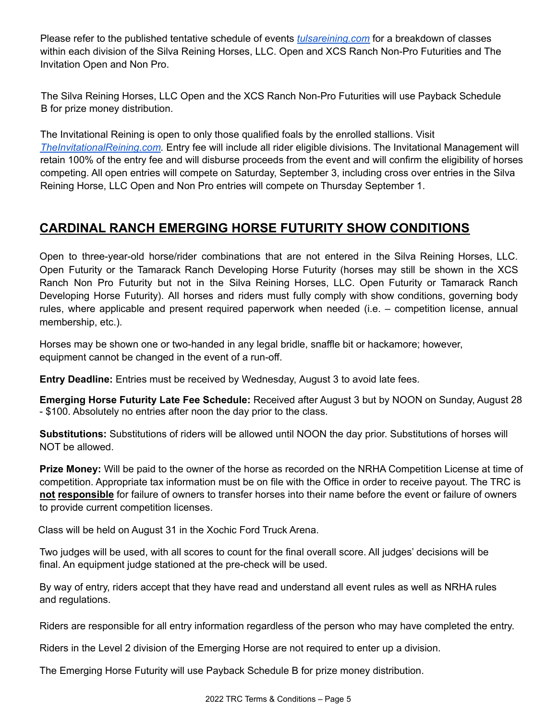Please refer to the published tentative schedule of events *[tulsareining.com](https://www.tulsareining.com/)* for a breakdown of classes within each division of the Silva Reining Horses, LLC. Open and XCS Ranch Non-Pro Futurities and The Invitation Open and Non Pro.

The Silva Reining Horses, LLC Open and the XCS Ranch Non-Pro Futurities will use Payback Schedule B for prize money distribution.

The Invitational Reining is open to only those qualified foals by the enrolled stallions. Visit *[TheInvitationalReining.com.](https://theinvitationalreining.com/)* Entry fee will include all rider eligible divisions. The Invitational Management will retain 100% of the entry fee and will disburse proceeds from the event and will confirm the eligibility of horses competing. All open entries will compete on Saturday, September 3, including cross over entries in the Silva Reining Horse, LLC Open and Non Pro entries will compete on Thursday September 1.

## **CARDINAL RANCH EMERGING HORSE FUTURITY SHOW CONDITIONS**

Open to three-year-old horse/rider combinations that are not entered in the Silva Reining Horses, LLC. Open Futurity or the Tamarack Ranch Developing Horse Futurity (horses may still be shown in the XCS Ranch Non Pro Futurity but not in the Silva Reining Horses, LLC. Open Futurity or Tamarack Ranch Developing Horse Futurity). All horses and riders must fully comply with show conditions, governing body rules, where applicable and present required paperwork when needed (i.e. – competition license, annual membership, etc.).

Horses may be shown one or two-handed in any legal bridle, snaffle bit or hackamore; however, equipment cannot be changed in the event of a run-off.

**Entry Deadline:** Entries must be received by Wednesday, August 3 to avoid late fees.

**Emerging Horse Futurity Late Fee Schedule:** Received after August 3 but by NOON on Sunday, August 28 - \$100. Absolutely no entries after noon the day prior to the class.

**Substitutions:** Substitutions of riders will be allowed until NOON the day prior. Substitutions of horses will NOT be allowed.

**Prize Money:** Will be paid to the owner of the horse as recorded on the NRHA Competition License at time of competition. Appropriate tax information must be on file with the Office in order to receive payout. The TRC is **not responsible** for failure of owners to transfer horses into their name before the event or failure of owners to provide current competition licenses.

Class will be held on August 31 in the Xochic Ford Truck Arena.

Two judges will be used, with all scores to count for the final overall score. All judges' decisions will be final. An equipment judge stationed at the pre-check will be used.

By way of entry, riders accept that they have read and understand all event rules as well as NRHA rules and regulations.

Riders are responsible for all entry information regardless of the person who may have completed the entry.

Riders in the Level 2 division of the Emerging Horse are not required to enter up a division.

The Emerging Horse Futurity will use Payback Schedule B for prize money distribution.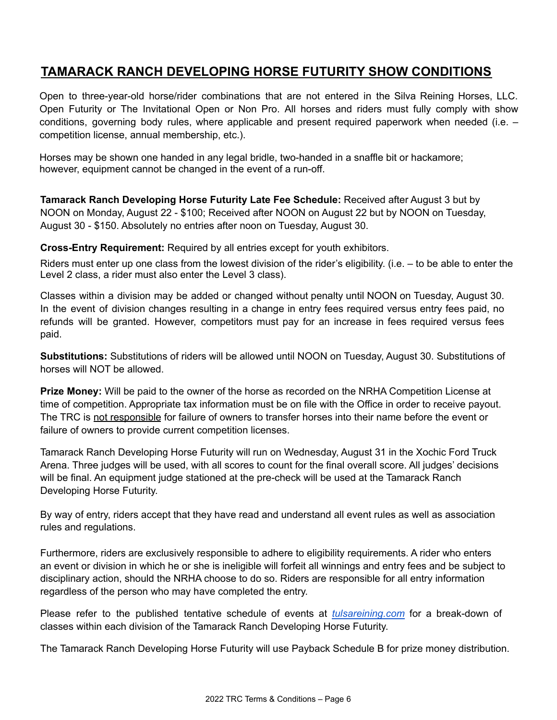## **TAMARACK RANCH DEVELOPING HORSE FUTURITY SHOW CONDITIONS**

Open to three-year-old horse/rider combinations that are not entered in the Silva Reining Horses, LLC. Open Futurity or The Invitational Open or Non Pro. All horses and riders must fully comply with show conditions, governing body rules, where applicable and present required paperwork when needed (i.e. – competition license, annual membership, etc.).

Horses may be shown one handed in any legal bridle, two-handed in a snaffle bit or hackamore; however, equipment cannot be changed in the event of a run-off.

**Tamarack Ranch Developing Horse Futurity Late Fee Schedule:** Received after August 3 but by NOON on Monday, August 22 - \$100; Received after NOON on August 22 but by NOON on Tuesday, August 30 - \$150. Absolutely no entries after noon on Tuesday, August 30.

**Cross-Entry Requirement:** Required by all entries except for youth exhibitors.

Riders must enter up one class from the lowest division of the rider's eligibility. (i.e. – to be able to enter the Level 2 class, a rider must also enter the Level 3 class).

Classes within a division may be added or changed without penalty until NOON on Tuesday, August 30. In the event of division changes resulting in a change in entry fees required versus entry fees paid, no refunds will be granted. However, competitors must pay for an increase in fees required versus fees paid.

**Substitutions:** Substitutions of riders will be allowed until NOON on Tuesday, August 30. Substitutions of horses will NOT be allowed.

**Prize Money:** Will be paid to the owner of the horse as recorded on the NRHA Competition License at time of competition. Appropriate tax information must be on file with the Office in order to receive payout. The TRC is not responsible for failure of owners to transfer horses into their name before the event or failure of owners to provide current competition licenses.

Tamarack Ranch Developing Horse Futurity will run on Wednesday, August 31 in the Xochic Ford Truck Arena. Three judges will be used, with all scores to count for the final overall score. All judges' decisions will be final. An equipment judge stationed at the pre-check will be used at the Tamarack Ranch Developing Horse Futurity.

By way of entry, riders accept that they have read and understand all event rules as well as association rules and regulations.

Furthermore, riders are exclusively responsible to adhere to eligibility requirements. A rider who enters an event or division in which he or she is ineligible will forfeit all winnings and entry fees and be subject to disciplinary action, should the NRHA choose to do so. Riders are responsible for all entry information regardless of the person who may have completed the entry.

Please refer to the published tentative schedule of events at *[tulsareining.com](https://www.tulsareining.com/)* for a break-down of classes within each division of the Tamarack Ranch Developing Horse Futurity.

The Tamarack Ranch Developing Horse Futurity will use Payback Schedule B for prize money distribution.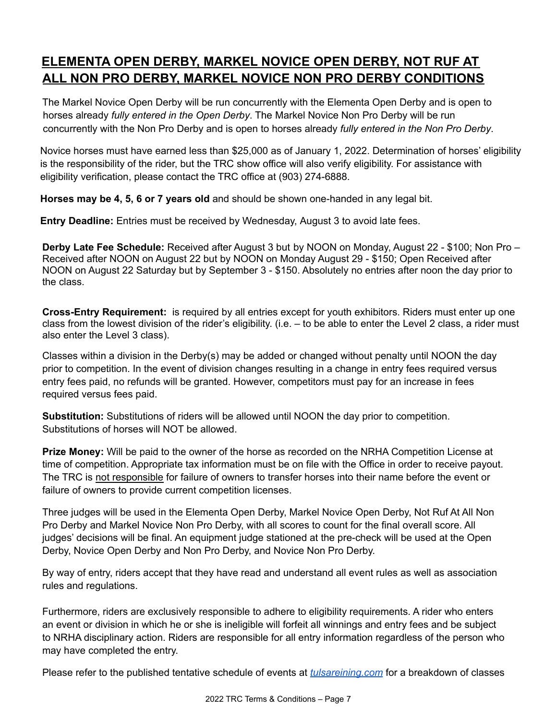# **ELEMENTA OPEN DERBY, MARKEL NOVICE OPEN DERBY, NOT RUF AT ALL NON PRO DERBY, MARKEL NOVICE NON PRO DERBY CONDITIONS**

The Markel Novice Open Derby will be run concurrently with the Elementa Open Derby and is open to horses already *fully entered in the Open Derby*. The Markel Novice Non Pro Derby will be run concurrently with the Non Pro Derby and is open to horses already *fully entered in the Non Pro Derby*.

Novice horses must have earned less than \$25,000 as of January 1, 2022. Determination of horses' eligibility is the responsibility of the rider, but the TRC show office will also verify eligibility. For assistance with eligibility verification, please contact the TRC office at (903) 274-6888.

**Horses may be 4, 5, 6 or 7 years old** and should be shown one-handed in any legal bit.

**Entry Deadline:** Entries must be received by Wednesday, August 3 to avoid late fees.

**Derby Late Fee Schedule:** Received after August 3 but by NOON on Monday, August 22 - \$100; Non Pro – Received after NOON on August 22 but by NOON on Monday August 29 - \$150; Open Received after NOON on August 22 Saturday but by September 3 - \$150. Absolutely no entries after noon the day prior to the class.

**Cross-Entry Requirement:** is required by all entries except for youth exhibitors. Riders must enter up one class from the lowest division of the rider's eligibility. (i.e. – to be able to enter the Level 2 class, a rider must also enter the Level 3 class).

Classes within a division in the Derby(s) may be added or changed without penalty until NOON the day prior to competition. In the event of division changes resulting in a change in entry fees required versus entry fees paid, no refunds will be granted. However, competitors must pay for an increase in fees required versus fees paid.

**Substitution:** Substitutions of riders will be allowed until NOON the day prior to competition. Substitutions of horses will NOT be allowed.

**Prize Money:** Will be paid to the owner of the horse as recorded on the NRHA Competition License at time of competition. Appropriate tax information must be on file with the Office in order to receive payout. The TRC is not responsible for failure of owners to transfer horses into their name before the event or failure of owners to provide current competition licenses.

Three judges will be used in the Elementa Open Derby, Markel Novice Open Derby, Not Ruf At All Non Pro Derby and Markel Novice Non Pro Derby, with all scores to count for the final overall score. All judges' decisions will be final. An equipment judge stationed at the pre-check will be used at the Open Derby, Novice Open Derby and Non Pro Derby, and Novice Non Pro Derby.

By way of entry, riders accept that they have read and understand all event rules as well as association rules and regulations.

Furthermore, riders are exclusively responsible to adhere to eligibility requirements. A rider who enters an event or division in which he or she is ineligible will forfeit all winnings and entry fees and be subject to NRHA disciplinary action. Riders are responsible for all entry information regardless of the person who may have completed the entry.

Please refer to the published tentative schedule of events at *[tulsareining.com](https://www.tulsareining.com/)* for a breakdown of classes